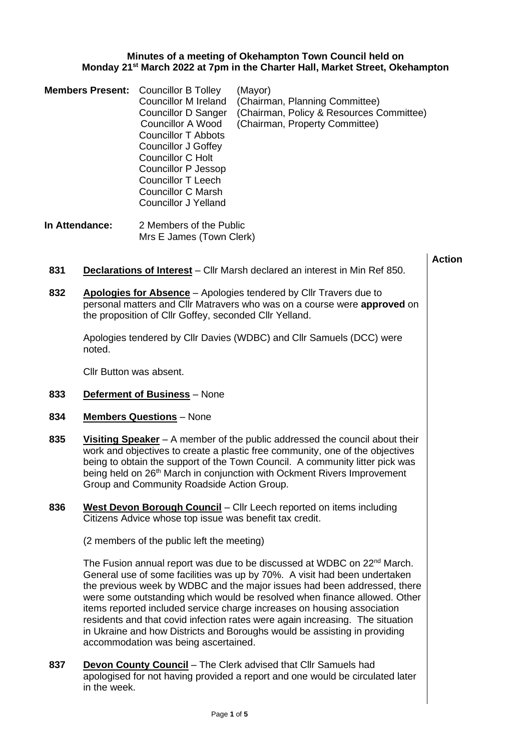## **Minutes of a meeting of Okehampton Town Council held on Monday 21st March 2022 at 7pm in the Charter Hall, Market Street, Okehampton**

|                | <b>Members Present:</b>                                                                                                                                                                                                                                                                                                                                                                    | <b>Councillor B Tolley</b><br><b>Councillor M Ireland</b><br><b>Councillor D Sanger</b><br><b>Councillor A Wood</b><br><b>Councillor T Abbots</b><br><b>Councillor J Goffey</b><br><b>Councillor C Holt</b><br><b>Councillor P Jessop</b><br><b>Councillor T Leech</b><br><b>Councillor C Marsh</b><br><b>Councillor J Yelland</b> | (Mayor)<br>(Chairman, Planning Committee)<br>(Chairman, Policy & Resources Committee)<br>(Chairman, Property Committee) |               |  |
|----------------|--------------------------------------------------------------------------------------------------------------------------------------------------------------------------------------------------------------------------------------------------------------------------------------------------------------------------------------------------------------------------------------------|------------------------------------------------------------------------------------------------------------------------------------------------------------------------------------------------------------------------------------------------------------------------------------------------------------------------------------|-------------------------------------------------------------------------------------------------------------------------|---------------|--|
| In Attendance: |                                                                                                                                                                                                                                                                                                                                                                                            | 2 Members of the Public<br>Mrs E James (Town Clerk)                                                                                                                                                                                                                                                                                |                                                                                                                         |               |  |
| 831            |                                                                                                                                                                                                                                                                                                                                                                                            |                                                                                                                                                                                                                                                                                                                                    | <b>Declarations of Interest</b> – Cllr Marsh declared an interest in Min Ref 850.                                       | <b>Action</b> |  |
| 832            | Apologies for Absence - Apologies tendered by Cllr Travers due to<br>personal matters and Cllr Matravers who was on a course were approved on<br>the proposition of Cllr Goffey, seconded Cllr Yelland.                                                                                                                                                                                    |                                                                                                                                                                                                                                                                                                                                    |                                                                                                                         |               |  |
|                | noted.                                                                                                                                                                                                                                                                                                                                                                                     |                                                                                                                                                                                                                                                                                                                                    | Apologies tendered by Cllr Davies (WDBC) and Cllr Samuels (DCC) were                                                    |               |  |
|                |                                                                                                                                                                                                                                                                                                                                                                                            | Cllr Button was absent.                                                                                                                                                                                                                                                                                                            |                                                                                                                         |               |  |
| 833            |                                                                                                                                                                                                                                                                                                                                                                                            | <b>Deferment of Business</b> - None                                                                                                                                                                                                                                                                                                |                                                                                                                         |               |  |
| 834            |                                                                                                                                                                                                                                                                                                                                                                                            | <b>Members Questions</b> - None                                                                                                                                                                                                                                                                                                    |                                                                                                                         |               |  |
| 835            | <b>Visiting Speaker</b> $- A$ member of the public addressed the council about their<br>work and objectives to create a plastic free community, one of the objectives<br>being to obtain the support of the Town Council. A community litter pick was<br>being held on 26 <sup>th</sup> March in conjunction with Ockment Rivers Improvement<br>Group and Community Roadside Action Group. |                                                                                                                                                                                                                                                                                                                                    |                                                                                                                         |               |  |
| 836            |                                                                                                                                                                                                                                                                                                                                                                                            | Citizens Advice whose top issue was benefit tax credit.                                                                                                                                                                                                                                                                            | West Devon Borough Council - Cllr Leech reported on items including                                                     |               |  |

(2 members of the public left the meeting)

The Fusion annual report was due to be discussed at WDBC on 22<sup>nd</sup> March. General use of some facilities was up by 70%. A visit had been undertaken the previous week by WDBC and the major issues had been addressed, there were some outstanding which would be resolved when finance allowed. Other items reported included service charge increases on housing association residents and that covid infection rates were again increasing. The situation in Ukraine and how Districts and Boroughs would be assisting in providing accommodation was being ascertained.

**837 Devon County Council** – The Clerk advised that Cllr Samuels had apologised for not having provided a report and one would be circulated later in the week.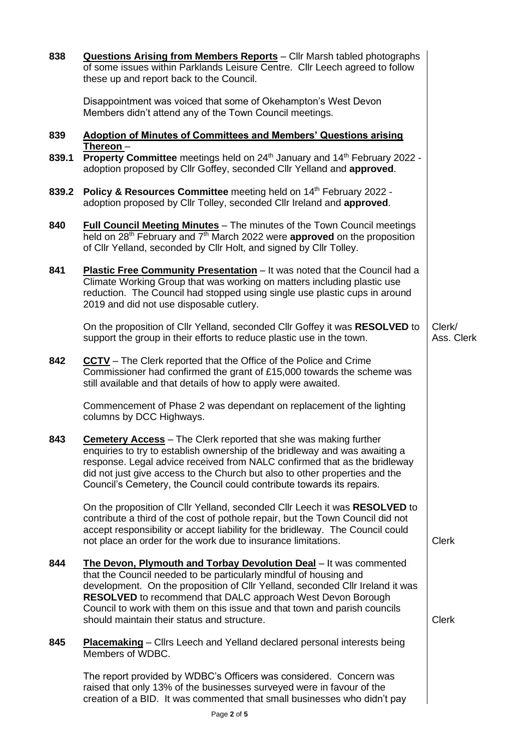| 838   | Questions Arising from Members Reports - Cllr Marsh tabled photographs<br>of some issues within Parklands Leisure Centre. Cllr Leech agreed to follow<br>these up and report back to the Council.                                                                                                                                                                                                                         |                      |
|-------|---------------------------------------------------------------------------------------------------------------------------------------------------------------------------------------------------------------------------------------------------------------------------------------------------------------------------------------------------------------------------------------------------------------------------|----------------------|
|       | Disappointment was voiced that some of Okehampton's West Devon<br>Members didn't attend any of the Town Council meetings.                                                                                                                                                                                                                                                                                                 |                      |
| 839   | <b>Adoption of Minutes of Committees and Members' Questions arising</b><br>Thereon $-$                                                                                                                                                                                                                                                                                                                                    |                      |
| 839.1 | Property Committee meetings held on 24 <sup>th</sup> January and 14 <sup>th</sup> February 2022 -<br>adoption proposed by Cllr Goffey, seconded Cllr Yelland and approved.                                                                                                                                                                                                                                                |                      |
| 839.2 | Policy & Resources Committee meeting held on 14th February 2022 -<br>adoption proposed by Cllr Tolley, seconded Cllr Ireland and approved.                                                                                                                                                                                                                                                                                |                      |
| 840   | Full Council Meeting Minutes - The minutes of the Town Council meetings<br>held on 28 <sup>th</sup> February and 7 <sup>th</sup> March 2022 were <b>approved</b> on the proposition<br>of Cllr Yelland, seconded by Cllr Holt, and signed by Cllr Tolley.                                                                                                                                                                 |                      |
| 841   | Plastic Free Community Presentation - It was noted that the Council had a<br>Climate Working Group that was working on matters including plastic use<br>reduction. The Council had stopped using single use plastic cups in around<br>2019 and did not use disposable cutlery.                                                                                                                                            |                      |
|       | On the proposition of Cllr Yelland, seconded Cllr Goffey it was RESOLVED to<br>support the group in their efforts to reduce plastic use in the town.                                                                                                                                                                                                                                                                      | Clerk/<br>Ass. Clerk |
| 842   | <b>CCTV</b> – The Clerk reported that the Office of the Police and Crime<br>Commissioner had confirmed the grant of £15,000 towards the scheme was<br>still available and that details of how to apply were awaited.                                                                                                                                                                                                      |                      |
|       | Commencement of Phase 2 was dependant on replacement of the lighting<br>columns by DCC Highways.                                                                                                                                                                                                                                                                                                                          |                      |
| 843   | <b>Cemetery Access</b> – The Clerk reported that she was making further<br>enquiries to try to establish ownership of the bridleway and was awaiting a<br>response. Legal advice received from NALC confirmed that as the bridleway<br>did not just give access to the Church but also to other properties and the<br>Council's Cemetery, the Council could contribute towards its repairs.                               |                      |
|       | On the proposition of Cllr Yelland, seconded Cllr Leech it was RESOLVED to<br>contribute a third of the cost of pothole repair, but the Town Council did not<br>accept responsibility or accept liability for the bridleway. The Council could<br>not place an order for the work due to insurance limitations.                                                                                                           | <b>Clerk</b>         |
| 844   | The Devon, Plymouth and Torbay Devolution Deal - It was commented<br>that the Council needed to be particularly mindful of housing and<br>development. On the proposition of Cllr Yelland, seconded Cllr Ireland it was<br><b>RESOLVED</b> to recommend that DALC approach West Devon Borough<br>Council to work with them on this issue and that town and parish councils<br>should maintain their status and structure. | <b>Clerk</b>         |
| 845   | <b>Placemaking</b> – Cllrs Leech and Yelland declared personal interests being<br>Members of WDBC.                                                                                                                                                                                                                                                                                                                        |                      |
|       | The report provided by WDBC's Officers was considered. Concern was<br>raised that only 13% of the businesses surveyed were in favour of the<br>creation of a BID. It was commented that small businesses who didn't pay                                                                                                                                                                                                   |                      |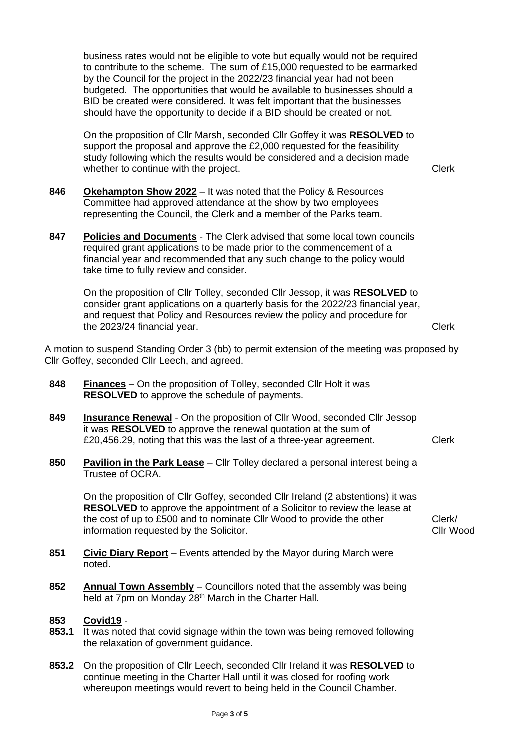|              | business rates would not be eligible to vote but equally would not be required<br>to contribute to the scheme. The sum of £15,000 requested to be earmarked<br>by the Council for the project in the 2022/23 financial year had not been<br>budgeted. The opportunities that would be available to businesses should a<br>BID be created were considered. It was felt important that the businesses<br>should have the opportunity to decide if a BID should be created or not. |                     |
|--------------|---------------------------------------------------------------------------------------------------------------------------------------------------------------------------------------------------------------------------------------------------------------------------------------------------------------------------------------------------------------------------------------------------------------------------------------------------------------------------------|---------------------|
|              | On the proposition of Cllr Marsh, seconded Cllr Goffey it was RESOLVED to<br>support the proposal and approve the £2,000 requested for the feasibility<br>study following which the results would be considered and a decision made<br>whether to continue with the project.                                                                                                                                                                                                    | <b>Clerk</b>        |
| 846          | Okehampton Show 2022 - It was noted that the Policy & Resources<br>Committee had approved attendance at the show by two employees<br>representing the Council, the Clerk and a member of the Parks team.                                                                                                                                                                                                                                                                        |                     |
| 847          | <b>Policies and Documents</b> - The Clerk advised that some local town councils<br>required grant applications to be made prior to the commencement of a<br>financial year and recommended that any such change to the policy would<br>take time to fully review and consider.                                                                                                                                                                                                  |                     |
|              | On the proposition of Cllr Tolley, seconded Cllr Jessop, it was RESOLVED to<br>consider grant applications on a quarterly basis for the 2022/23 financial year,<br>and request that Policy and Resources review the policy and procedure for<br>the 2023/24 financial year.                                                                                                                                                                                                     | <b>Clerk</b>        |
|              | A motion to suspend Standing Order 3 (bb) to permit extension of the meeting was proposed by<br>Cllr Goffey, seconded Cllr Leech, and agreed.                                                                                                                                                                                                                                                                                                                                   |                     |
| 848          | <b>Finances</b> – On the proposition of Tolley, seconded Cllr Holt it was<br>RESOLVED to approve the schedule of payments.                                                                                                                                                                                                                                                                                                                                                      |                     |
| 849          | <b>Insurance Renewal</b> - On the proposition of Cllr Wood, seconded Cllr Jessop<br>it was RESOLVED to approve the renewal quotation at the sum of<br>£20,456.29, noting that this was the last of a three-year agreement.                                                                                                                                                                                                                                                      | Clerk               |
| 850          | <b>Pavilion in the Park Lease</b> – Cllr Tolley declared a personal interest being a<br>Trustee of OCRA.                                                                                                                                                                                                                                                                                                                                                                        |                     |
|              | On the proposition of Cllr Goffey, seconded Cllr Ireland (2 abstentions) it was<br><b>RESOLVED</b> to approve the appointment of a Solicitor to review the lease at<br>the cost of up to £500 and to nominate Cllr Wood to provide the other<br>information requested by the Solicitor.                                                                                                                                                                                         | Clerk/<br>Cllr Wood |
| 851          | Civic Diary Report – Events attended by the Mayor during March were<br>noted.                                                                                                                                                                                                                                                                                                                                                                                                   |                     |
| 852          | <b>Annual Town Assembly</b> - Councillors noted that the assembly was being<br>held at 7pm on Monday 28 <sup>th</sup> March in the Charter Hall.                                                                                                                                                                                                                                                                                                                                |                     |
| 853<br>853.1 | Covid19 -<br>It was noted that covid signage within the town was being removed following<br>the relaxation of government guidance.                                                                                                                                                                                                                                                                                                                                              |                     |
| 853.2        | On the proposition of Cllr Leech, seconded Cllr Ireland it was RESOLVED to<br>continue meeting in the Charter Hall until it was closed for roofing work<br>whereupon meetings would revert to being held in the Council Chamber.                                                                                                                                                                                                                                                |                     |
|              |                                                                                                                                                                                                                                                                                                                                                                                                                                                                                 |                     |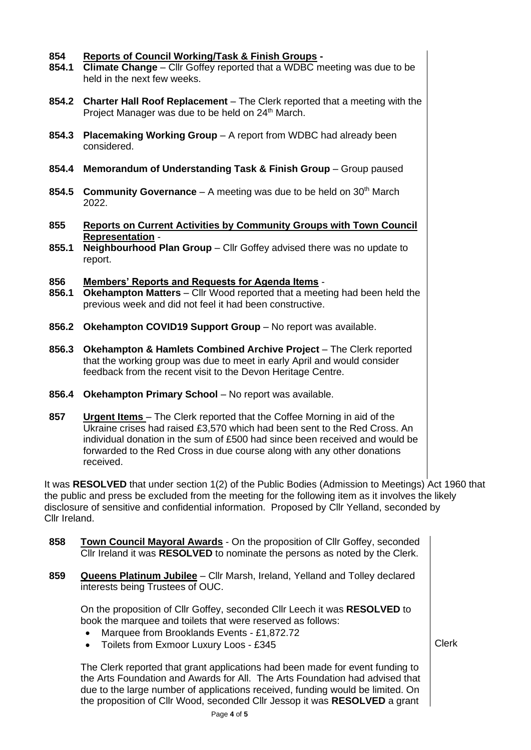## **854 Reports of Council Working/Task & Finish Groups -**

- **854.1 Climate Change** Cllr Goffey reported that a WDBC meeting was due to be held in the next few weeks.
- **854.2 Charter Hall Roof Replacement** The Clerk reported that a meeting with the Project Manager was due to be held on 24<sup>th</sup> March.
- **854.3 Placemaking Working Group** A report from WDBC had already been considered.
- **854.4 Memorandum of Understanding Task & Finish Group** Group paused
- **854.5 Community Governance** A meeting was due to be held on 30<sup>th</sup> March 2022.
- **855 Reports on Current Activities by Community Groups with Town Council Representation** -
- **855.1 Neighbourhood Plan Group**  Cllr Goffey advised there was no update to report.

## **856 Members' Reports and Requests for Agenda Items** -

- **856.1 Okehampton Matters**  Cllr Wood reported that a meeting had been held the previous week and did not feel it had been constructive.
- **856.2 Okehampton COVID19 Support Group** No report was available.
- **856.3 Okehampton & Hamlets Combined Archive Project** The Clerk reported that the working group was due to meet in early April and would consider feedback from the recent visit to the Devon Heritage Centre.
- **856.4 Okehampton Primary School No report was available.**
- **857 Urgent Items** The Clerk reported that the Coffee Morning in aid of the Ukraine crises had raised £3,570 which had been sent to the Red Cross. An individual donation in the sum of £500 had since been received and would be forwarded to the Red Cross in due course along with any other donations received.

It was **RESOLVED** that under section 1(2) of the Public Bodies (Admission to Meetings) Act 1960 that the public and press be excluded from the meeting for the following item as it involves the likely disclosure of sensitive and confidential information. Proposed by Cllr Yelland, seconded by Cllr Ireland.

- **858 Town Council Mayoral Awards** On the proposition of Cllr Goffey, seconded Cllr Ireland it was **RESOLVED** to nominate the persons as noted by the Clerk.
- **859 Queens Platinum Jubilee** Cllr Marsh, Ireland, Yelland and Tolley declared interests being Trustees of OUC.

On the proposition of Cllr Goffey, seconded Cllr Leech it was **RESOLVED** to book the marquee and toilets that were reserved as follows:

- Marquee from Brooklands Events £1,872.72
- Toilets from Exmoor Luxury Loos £345

Clerk

The Clerk reported that grant applications had been made for event funding to the Arts Foundation and Awards for All. The Arts Foundation had advised that due to the large number of applications received, funding would be limited. On the proposition of Cllr Wood, seconded Cllr Jessop it was **RESOLVED** a grant